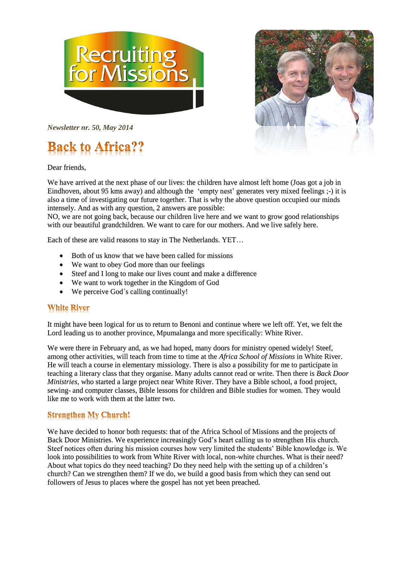



*Newsletter nr. 50, May 2014* 

# **Back to Africa??**

Dear friends,

We have arrived at the next phase of our lives: the children have almost left home (Joas got a job in Eindhoven, about 95 kms away) and although the 'empty nest' generates very mixed feelings ;-) it is also a time of investigating our future together. That is why the above question occupied our minds intensely. And as with any question, 2 answers are possible:

NO, we are not going back, because our children live here and we want to grow good relationships with our beautiful grandchildren. We want to care for our mothers. And we live safely here.

Each of these are valid reasons to stay in The Netherlands. YET…

- Both of us know that we have been called for missions
- We want to obey God more than our feelings
- Steef and I long to make our lives count and make a difference
- We want to work together in the Kingdom of God
- We perceive God's calling continually!

### **White River**

It might have been logical for us to return to Benoni and continue where we left off. Yet, we felt the Lord leading us to another province, Mpumalanga and more specifically: White River.

We were there in February and, as we had hoped, many doors for ministry opened widely! Steef, among other activities, will teach from time to time at the *Africa School of Missions* in White River. He will teach a course in elementary missiology. There is also a possibility for me to participate in teaching a literary class that they organise. Many adults cannot read or write. Then there is *Back Door Ministries*, who started a large project near White River. They have a Bible school, a food project, sewing- and computer classes, Bible lessons for children and Bible studies for women. They would like me to work with them at the latter two.

### **Strengthen My Church!**

We have decided to honor both requests: that of the Africa School of Missions and the projects of Back Door Ministries. We experience increasingly God's heart calling us to strengthen His church. Steef notices often during his mission courses how very limited the students' Bible knowledge is. We look into possibilities to work from White River with local, non-white churches. What is their need? About what topics do they need teaching? Do they need help with the setting up of a children's church? Can we strengthen them? If we do, we build a good basis from which they can send out followers of Jesus to places where the gospel has not yet been preached.